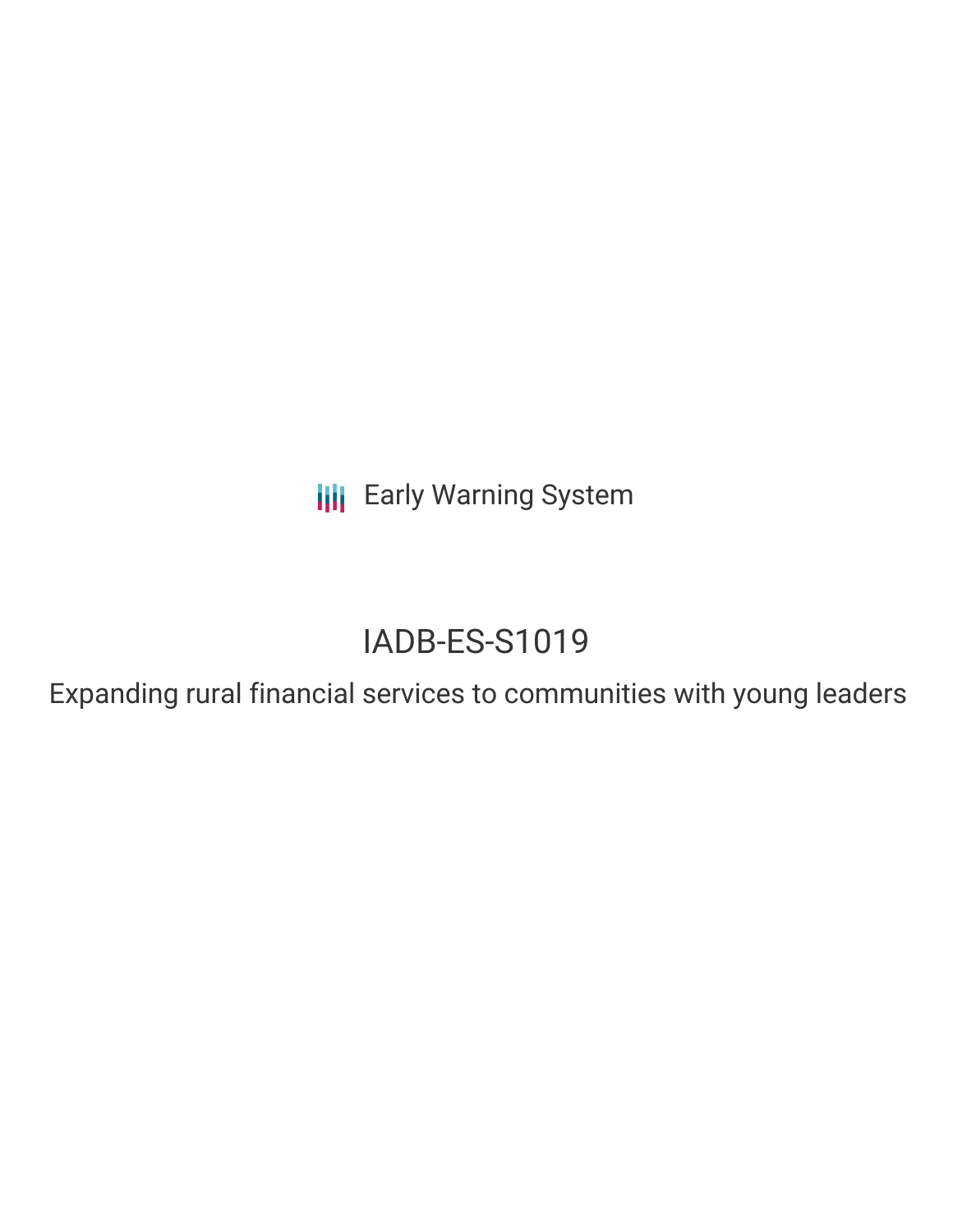**III** Early Warning System

## IADB-ES-S1019

Expanding rural financial services to communities with young leaders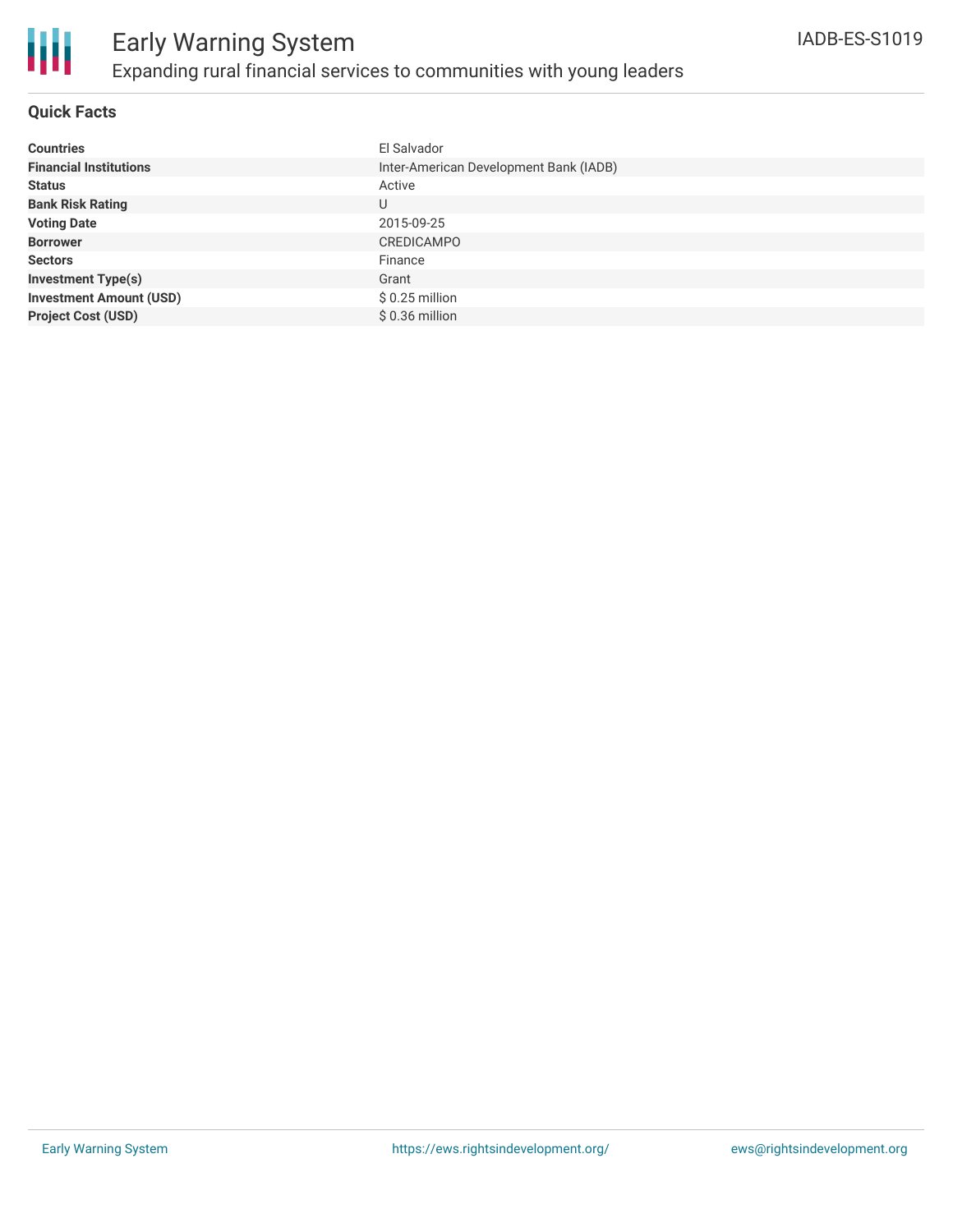

### **Quick Facts**

| <b>Countries</b>               | El Salvador                            |
|--------------------------------|----------------------------------------|
| <b>Financial Institutions</b>  | Inter-American Development Bank (IADB) |
| <b>Status</b>                  | Active                                 |
| <b>Bank Risk Rating</b>        | U                                      |
| <b>Voting Date</b>             | 2015-09-25                             |
| <b>Borrower</b>                | <b>CREDICAMPO</b>                      |
| <b>Sectors</b>                 | Finance                                |
| <b>Investment Type(s)</b>      | Grant                                  |
| <b>Investment Amount (USD)</b> | $$0.25$ million                        |
| <b>Project Cost (USD)</b>      | $$0.36$ million                        |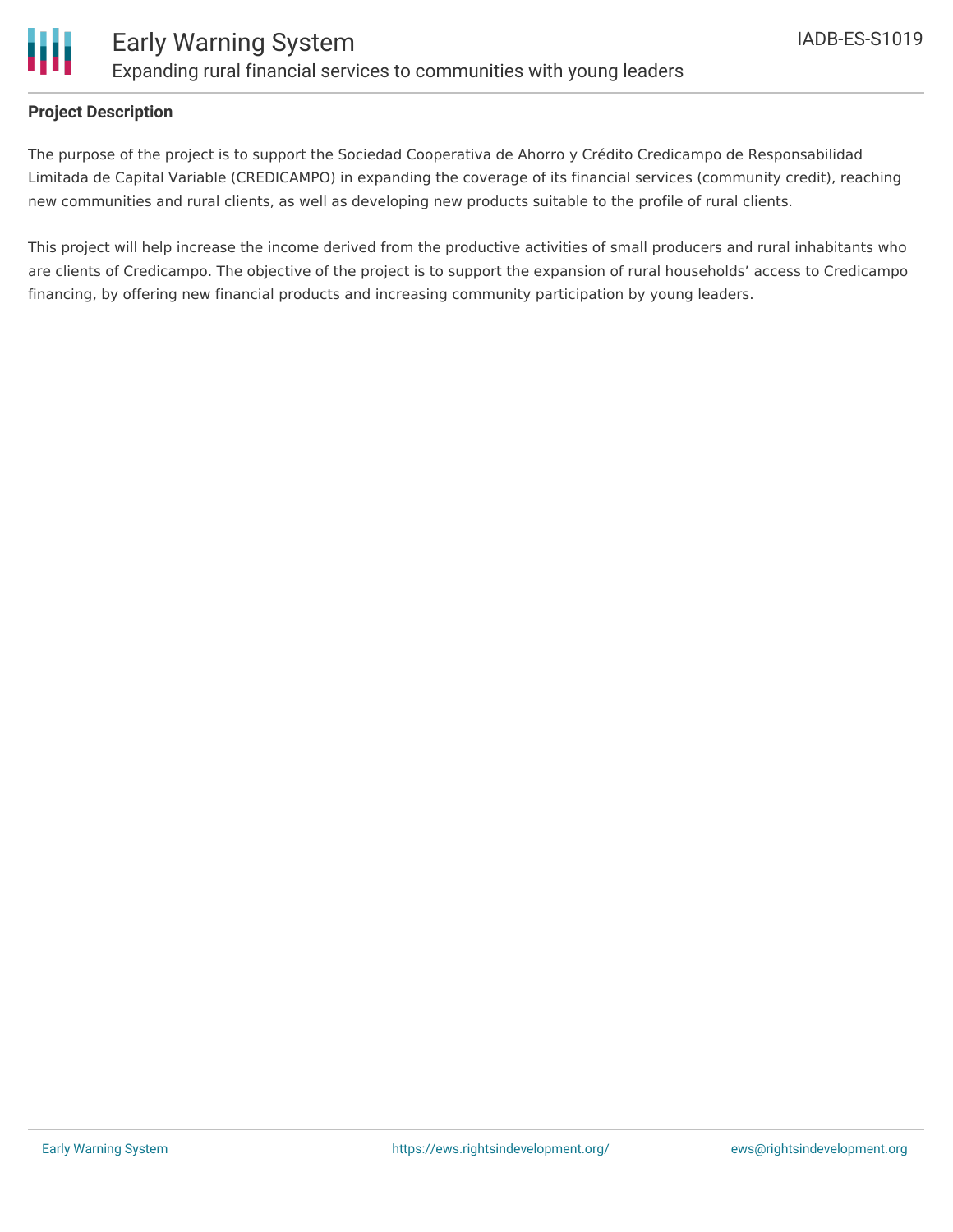

### **Project Description**

The purpose of the project is to support the Sociedad Cooperativa de Ahorro y Crédito Credicampo de Responsabilidad Limitada de Capital Variable (CREDICAMPO) in expanding the coverage of its financial services (community credit), reaching new communities and rural clients, as well as developing new products suitable to the profile of rural clients.

This project will help increase the income derived from the productive activities of small producers and rural inhabitants who are clients of Credicampo. The objective of the project is to support the expansion of rural households' access to Credicampo financing, by offering new financial products and increasing community participation by young leaders.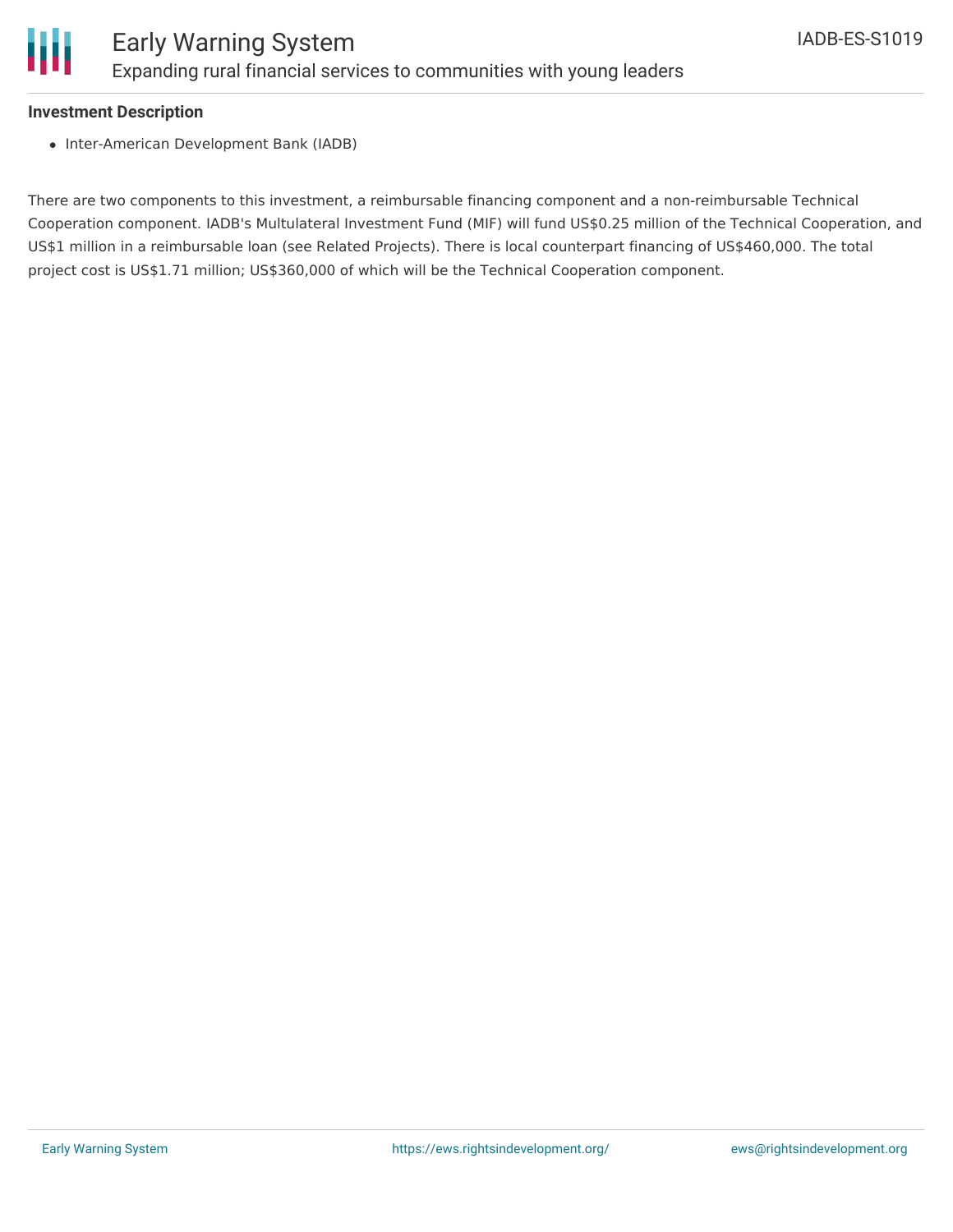

#### **Investment Description**

• Inter-American Development Bank (IADB)

There are two components to this investment, a reimbursable financing component and a non-reimbursable Technical Cooperation component. IADB's Multulateral Investment Fund (MIF) will fund US\$0.25 million of the Technical Cooperation, and US\$1 million in a reimbursable loan (see Related Projects). There is local counterpart financing of US\$460,000. The total project cost is US\$1.71 million; US\$360,000 of which will be the Technical Cooperation component.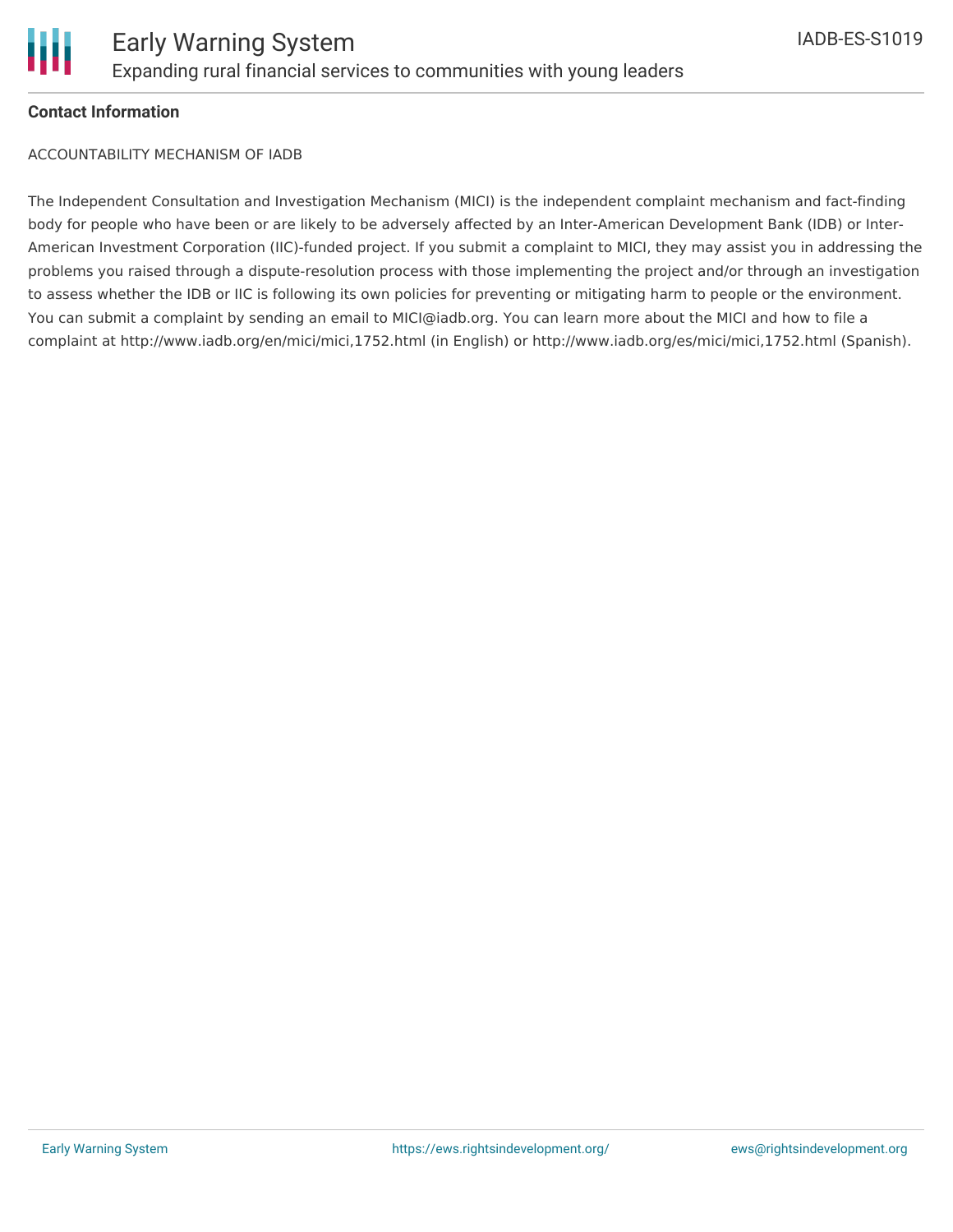

### **Contact Information**

ACCOUNTABILITY MECHANISM OF IADB

The Independent Consultation and Investigation Mechanism (MICI) is the independent complaint mechanism and fact-finding body for people who have been or are likely to be adversely affected by an Inter-American Development Bank (IDB) or Inter-American Investment Corporation (IIC)-funded project. If you submit a complaint to MICI, they may assist you in addressing the problems you raised through a dispute-resolution process with those implementing the project and/or through an investigation to assess whether the IDB or IIC is following its own policies for preventing or mitigating harm to people or the environment. You can submit a complaint by sending an email to MICI@iadb.org. You can learn more about the MICI and how to file a complaint at http://www.iadb.org/en/mici/mici,1752.html (in English) or http://www.iadb.org/es/mici/mici,1752.html (Spanish).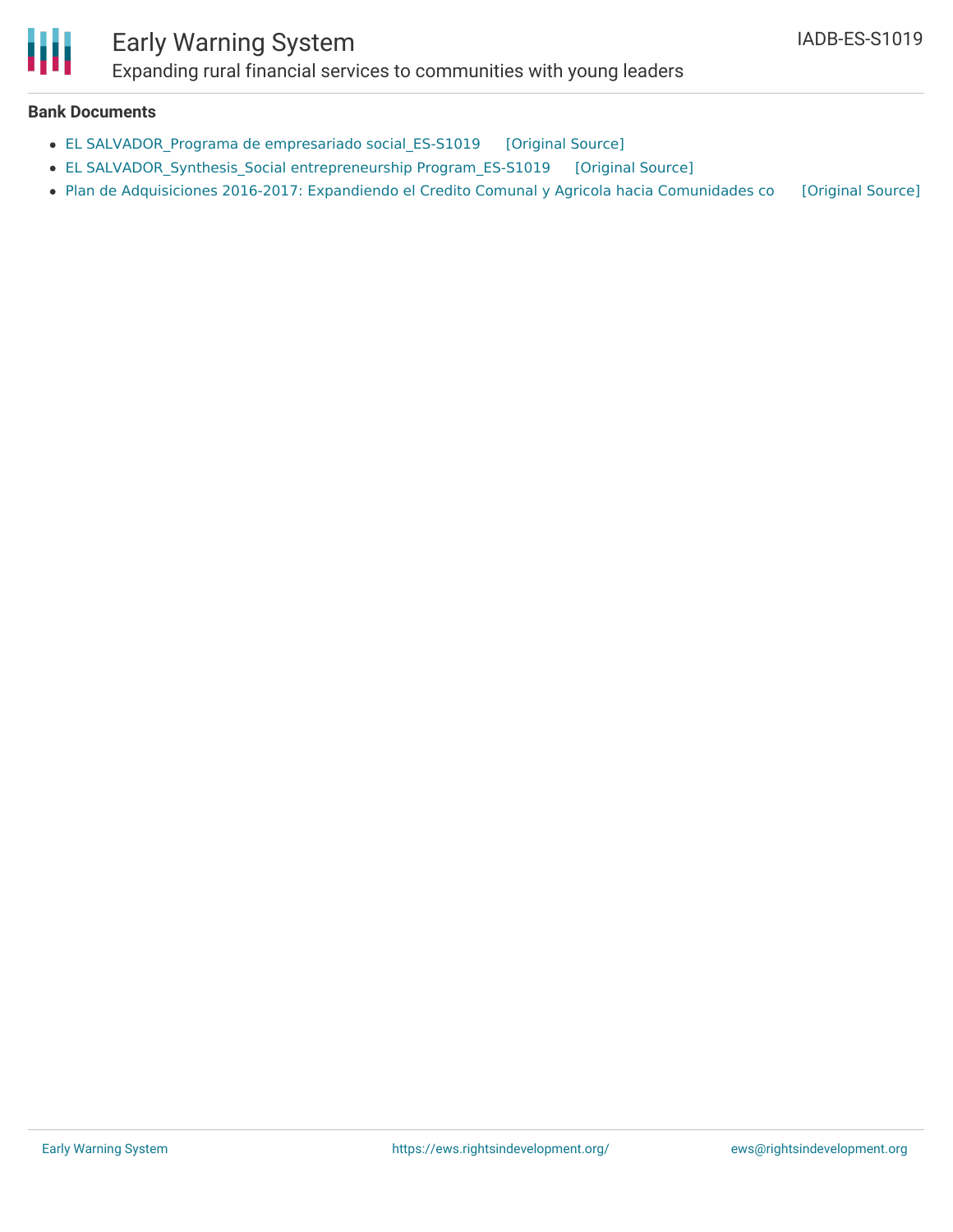# Ш

## Early Warning System

Expanding rural financial services to communities with young leaders

### **Bank Documents**

- EL [SALVADOR\\_Programa](https://ewsdata.rightsindevelopment.org/files/documents/19/IADB-ES-S1019_QJGZFZm.pdf) de empresariado social\_ES-S1019 [\[Original](http://www.iadb.org/Document.cfm?id=40369915) Source]
- EL [SALVADOR\\_Synthesis\\_Social](https://ewsdata.rightsindevelopment.org/files/documents/19/IADB-ES-S1019_NF2SFEG.pdf) entrepreneurship Program\_ES-S1019 [\[Original](http://www.iadb.org/Document.cfm?id=40369931) Source]
- Plan de [Adquisiciones](https://ewsdata.rightsindevelopment.org/files/documents/19/IADB-ES-S1019.pdf) 2016-2017: Expandiendo el Credito Comunal y Agricola hacia Comunidades co [\[Original](http://www.iadb.org/Document.cfm?id=40699920) Source]